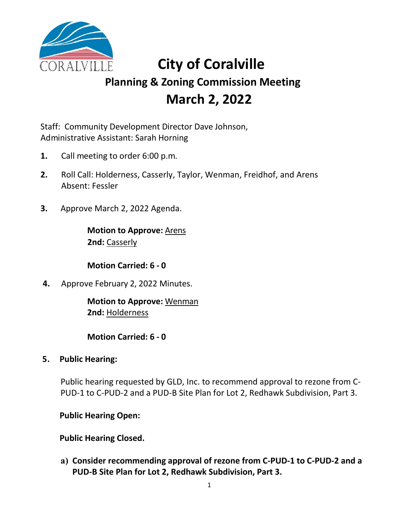

# **City of Coralville Planning & Zoning Commission Meeting March 2, 2022**

Staff: Community Development Director Dave Johnson, Administrative Assistant: Sarah Horning

- **1.** Call meeting to order 6:00 p.m.
- **2.** Roll Call: Holderness, Casserly, Taylor, Wenman, Freidhof, and Arens Absent: Fessler
- **3.** Approve March 2, 2022 Agenda.

**Motion to Approve:** Arens **2nd:** Casserly

**Motion Carried: 6 - 0**

**4.** Approve February 2, 2022 Minutes.

**Motion to Approve:** Wenman **2nd:** Holderness

**Motion Carried: 6 - 0**

**5. Public Hearing:** 

Public hearing requested by GLD, Inc. to recommend approval to rezone from C-PUD-1 to C-PUD-2 and a PUD-B Site Plan for Lot 2, Redhawk Subdivision, Part 3.

**Public Hearing Open:**

**Public Hearing Closed.**

**a) Consider recommending approval of rezone from C-PUD-1 to C-PUD-2 and a PUD-B Site Plan for Lot 2, Redhawk Subdivision, Part 3.**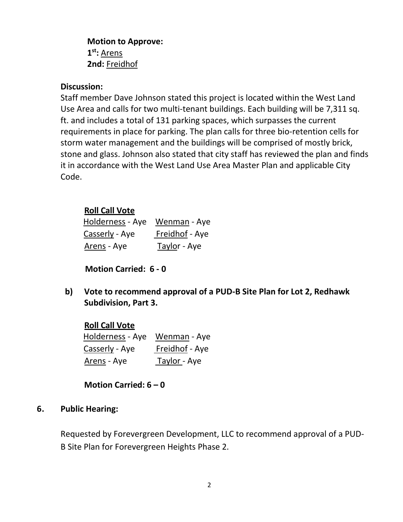**Motion to Approve: 1st:** Arens **2nd:** Freidhof

#### **Discussion:**

Staff member Dave Johnson stated this project is located within the West Land Use Area and calls for two multi-tenant buildings. Each building will be 7,311 sq. ft. and includes a total of 131 parking spaces, which surpasses the current requirements in place for parking. The plan calls for three bio-retention cells for storm water management and the buildings will be comprised of mostly brick, stone and glass. Johnson also stated that city staff has reviewed the plan and finds it in accordance with the West Land Use Area Master Plan and applicable City Code.

# **Roll Call Vote**

| Holderness - Aye       | Wenman - Aye   |
|------------------------|----------------|
| <u> Casserly</u> - Aye | Freidhof - Aye |
| <u>Arens</u> - Aye     | Taylor - Aye   |

**Motion Carried: 6 - 0**

**b) Vote to recommend approval of a PUD-B Site Plan for Lot 2, Redhawk Subdivision, Part 3.**

**Roll Call Vote** Holderness - Aye Wenman - Aye Casserly - Aye Freidhof - Aye Arens - Aye Taylor - Aye

**Motion Carried: 6 – 0**

#### **6. Public Hearing:**

Requested by Forevergreen Development, LLC to recommend approval of a PUD-B Site Plan for Forevergreen Heights Phase 2.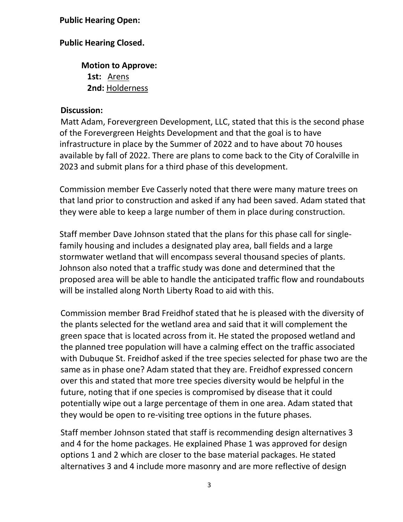### **Public Hearing Open:**

# **Public Hearing Closed.**

**Motion to Approve: 1st:** Arens **2nd:** Holderness

#### **Discussion:**

Matt Adam, Forevergreen Development, LLC, stated that this is the second phase of the Forevergreen Heights Development and that the goal is to have infrastructure in place by the Summer of 2022 and to have about 70 houses available by fall of 2022. There are plans to come back to the City of Coralville in 2023 and submit plans for a third phase of this development.

Commission member Eve Casserly noted that there were many mature trees on that land prior to construction and asked if any had been saved. Adam stated that they were able to keep a large number of them in place during construction.

Staff member Dave Johnson stated that the plans for this phase call for singlefamily housing and includes a designated play area, ball fields and a large stormwater wetland that will encompass several thousand species of plants. Johnson also noted that a traffic study was done and determined that the proposed area will be able to handle the anticipated traffic flow and roundabouts will be installed along North Liberty Road to aid with this.

Commission member Brad Freidhof stated that he is pleased with the diversity of the plants selected for the wetland area and said that it will complement the green space that is located across from it. He stated the proposed wetland and the planned tree population will have a calming effect on the traffic associated with Dubuque St. Freidhof asked if the tree species selected for phase two are the same as in phase one? Adam stated that they are. Freidhof expressed concern over this and stated that more tree species diversity would be helpful in the future, noting that if one species is compromised by disease that it could potentially wipe out a large percentage of them in one area. Adam stated that they would be open to re-visiting tree options in the future phases.

Staff member Johnson stated that staff is recommending design alternatives 3 and 4 for the home packages. He explained Phase 1 was approved for design options 1 and 2 which are closer to the base material packages. He stated alternatives 3 and 4 include more masonry and are more reflective of design